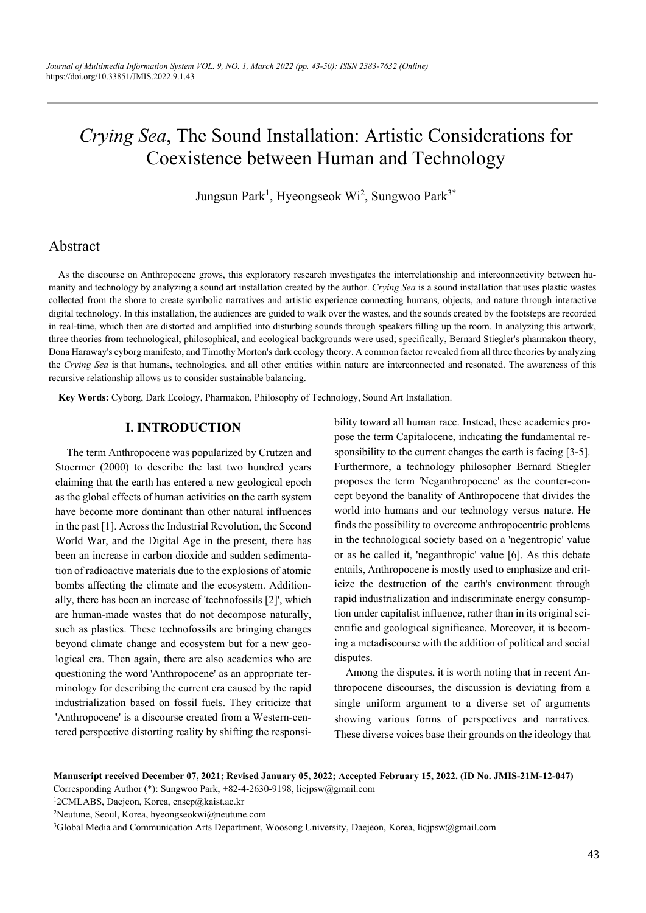# *Crying Sea*, The Sound Installation: Artistic Considerations for Coexistence between Human and Technology

Jungsun Park<sup>1</sup>, Hyeongseok Wi<sup>2</sup>, Sungwoo Park<sup>3\*</sup>

# Abstract

As the discourse on Anthropocene grows, this exploratory research investigates the interrelationship and interconnectivity between humanity and technology by analyzing a sound art installation created by the author. *Crying Sea* is a sound installation that uses plastic wastes collected from the shore to create symbolic narratives and artistic experience connecting humans, objects, and nature through interactive digital technology. In this installation, the audiences are guided to walk over the wastes, and the sounds created by the footsteps are recorded in real-time, which then are distorted and amplified into disturbing sounds through speakers filling up the room. In analyzing this artwork, three theories from technological, philosophical, and ecological backgrounds were used; specifically, Bernard Stiegler's pharmakon theory, Dona Haraway's cyborg manifesto, and Timothy Morton's dark ecology theory. A common factor revealed from all three theories by analyzing the *Crying Sea* is that humans, technologies, and all other entities within nature are interconnected and resonated. The awareness of this recursive relationship allows us to consider sustainable balancing.

**Key Words:** Cyborg, Dark Ecology, Pharmakon, Philosophy of Technology, Sound Art Installation.

## **I. INTRODUCTION**

The term Anthropocene was popularized by Crutzen and Stoermer (2000) to describe the last two hundred years claiming that the earth has entered a new geological epoch as the global effects of human activities on the earth system have become more dominant than other natural influences in the past [1]. Across the Industrial Revolution, the Second World War, and the Digital Age in the present, there has been an increase in carbon dioxide and sudden sedimentation of radioactive materials due to the explosions of atomic bombs affecting the climate and the ecosystem. Additionally, there has been an increase of 'technofossils [2]', which are human-made wastes that do not decompose naturally, such as plastics. These technofossils are bringing changes beyond climate change and ecosystem but for a new geological era. Then again, there are also academics who are questioning the word 'Anthropocene' as an appropriate terminology for describing the current era caused by the rapid industrialization based on fossil fuels. They criticize that 'Anthropocene' is a discourse created from a Western-centered perspective distorting reality by shifting the responsibility toward all human race. Instead, these academics propose the term Capitalocene, indicating the fundamental responsibility to the current changes the earth is facing [3-5]. Furthermore, a technology philosopher Bernard Stiegler proposes the term 'Neganthropocene' as the counter-concept beyond the banality of Anthropocene that divides the world into humans and our technology versus nature. He finds the possibility to overcome anthropocentric problems in the technological society based on a 'negentropic' value or as he called it, 'neganthropic' value [6]. As this debate entails, Anthropocene is mostly used to emphasize and criticize the destruction of the earth's environment through rapid industrialization and indiscriminate energy consumption under capitalist influence, rather than in its original scientific and geological significance. Moreover, it is becoming a metadiscourse with the addition of political and social disputes.

Among the disputes, it is worth noting that in recent Anthropocene discourses, the discussion is deviating from a single uniform argument to a diverse set of arguments showing various forms of perspectives and narratives. These diverse voices base their grounds on the ideology that

**Manuscript received December 07, 2021; Revised January 05, 2022; Accepted February 15, 2022. (ID No. JMIS-21M-12-047)**  Corresponding Author (\*): Sungwoo Park, +82-4-2630-9198, licjpsw@gmail.com 12CMLABS, Daejeon, Korea, ensep@kaist.ac.kr

<sup>3</sup>Global Media and Communication Arts Department, Woosong University, Daejeon, Korea, licjpsw@gmail.com

<sup>2</sup>Neutune, Seoul, Korea, hyeongseokwi@neutune.com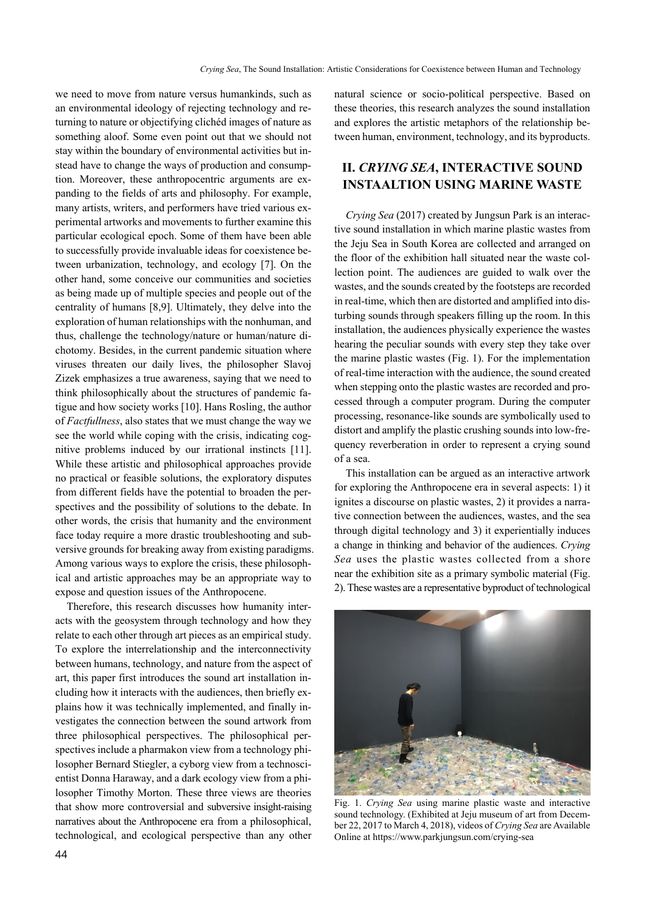we need to move from nature versus humankinds, such as an environmental ideology of rejecting technology and returning to nature or objectifying clichéd images of nature as something aloof. Some even point out that we should not stay within the boundary of environmental activities but instead have to change the ways of production and consumption. Moreover, these anthropocentric arguments are expanding to the fields of arts and philosophy. For example, many artists, writers, and performers have tried various experimental artworks and movements to further examine this particular ecological epoch. Some of them have been able to successfully provide invaluable ideas for coexistence between urbanization, technology, and ecology [7]. On the other hand, some conceive our communities and societies as being made up of multiple species and people out of the centrality of humans [8,9]. Ultimately, they delve into the exploration of human relationships with the nonhuman, and thus, challenge the technology/nature or human/nature dichotomy. Besides, in the current pandemic situation where viruses threaten our daily lives, the philosopher Slavoj Zizek emphasizes a true awareness, saying that we need to think philosophically about the structures of pandemic fatigue and how society works [10]. Hans Rosling, the author of *Factfullness*, also states that we must change the way we see the world while coping with the crisis, indicating cognitive problems induced by our irrational instincts [11]. While these artistic and philosophical approaches provide no practical or feasible solutions, the exploratory disputes from different fields have the potential to broaden the perspectives and the possibility of solutions to the debate. In other words, the crisis that humanity and the environment face today require a more drastic troubleshooting and subversive grounds for breaking away from existing paradigms. Among various ways to explore the crisis, these philosophical and artistic approaches may be an appropriate way to expose and question issues of the Anthropocene.

Therefore, this research discusses how humanity interacts with the geosystem through technology and how they relate to each other through art pieces as an empirical study. To explore the interrelationship and the interconnectivity between humans, technology, and nature from the aspect of art, this paper first introduces the sound art installation including how it interacts with the audiences, then briefly explains how it was technically implemented, and finally investigates the connection between the sound artwork from three philosophical perspectives. The philosophical perspectives include a pharmakon view from a technology philosopher Bernard Stiegler, a cyborg view from a technoscientist Donna Haraway, and a dark ecology view from a philosopher Timothy Morton. These three views are theories that show more controversial and subversive insight-raising narratives about the Anthropocene era from a philosophical, technological, and ecological perspective than any other

natural science or socio-political perspective. Based on these theories, this research analyzes the sound installation and explores the artistic metaphors of the relationship between human, environment, technology, and its byproducts.

# **II.** *CRYING SEA***, INTERACTIVE SOUND INSTAALTION USING MARINE WASTE**

*Crying Sea* (2017) created by Jungsun Park is an interactive sound installation in which marine plastic wastes from the Jeju Sea in South Korea are collected and arranged on the floor of the exhibition hall situated near the waste collection point. The audiences are guided to walk over the wastes, and the sounds created by the footsteps are recorded in real-time, which then are distorted and amplified into disturbing sounds through speakers filling up the room. In this installation, the audiences physically experience the wastes hearing the peculiar sounds with every step they take over the marine plastic wastes (Fig. 1). For the implementation of real-time interaction with the audience, the sound created when stepping onto the plastic wastes are recorded and processed through a computer program. During the computer processing, resonance-like sounds are symbolically used to distort and amplify the plastic crushing sounds into low-frequency reverberation in order to represent a crying sound of a sea.

This installation can be argued as an interactive artwork for exploring the Anthropocene era in several aspects: 1) it ignites a discourse on plastic wastes, 2) it provides a narrative connection between the audiences, wastes, and the sea through digital technology and 3) it experientially induces a change in thinking and behavior of the audiences. *Crying Sea* uses the plastic wastes collected from a shore near the exhibition site as a primary symbolic material (Fig. 2). These wastes are a representative byproduct of technological



Fig. 1. *Crying Sea* using marine plastic waste and interactive sound technology. (Exhibited at Jeju museum of art from December 22, 2017 to March 4, 2018), videos of *Crying Sea* are Available Online at https://www.parkjungsun.com/crying-sea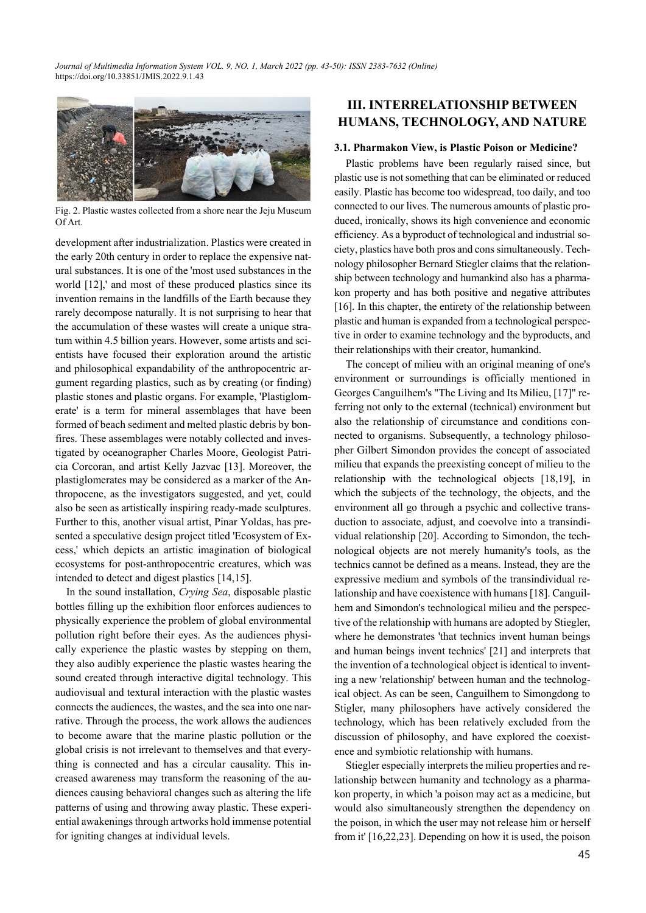*Journal of Multimedia Information System VOL. 9, NO. 1, March 2022 (pp. 43-50): ISSN 2383-7632 (Online)* https://doi.org/10.33851/JMIS.2022.9.1.43



Fig. 2. Plastic wastes collected from a shore near the Jeju Museum Of Art.

development after industrialization. Plastics were created in the early 20th century in order to replace the expensive natural substances. It is one of the 'most used substances in the world [12],' and most of these produced plastics since its invention remains in the landfills of the Earth because they rarely decompose naturally. It is not surprising to hear that the accumulation of these wastes will create a unique stratum within 4.5 billion years. However, some artists and scientists have focused their exploration around the artistic and philosophical expandability of the anthropocentric argument regarding plastics, such as by creating (or finding) plastic stones and plastic organs. For example, 'Plastiglomerate' is a term for mineral assemblages that have been formed of beach sediment and melted plastic debris by bonfires. These assemblages were notably collected and investigated by oceanographer Charles Moore, Geologist Patricia Corcoran, and artist Kelly Jazvac [13]. Moreover, the plastiglomerates may be considered as a marker of the Anthropocene, as the investigators suggested, and yet, could also be seen as artistically inspiring ready-made sculptures. Further to this, another visual artist, Pinar Yoldas, has presented a speculative design project titled 'Ecosystem of Excess,' which depicts an artistic imagination of biological ecosystems for post-anthropocentric creatures, which was intended to detect and digest plastics [14,15].

In the sound installation, *Crying Sea*, disposable plastic bottles filling up the exhibition floor enforces audiences to physically experience the problem of global environmental pollution right before their eyes. As the audiences physically experience the plastic wastes by stepping on them, they also audibly experience the plastic wastes hearing the sound created through interactive digital technology. This audiovisual and textural interaction with the plastic wastes connects the audiences, the wastes, and the sea into one narrative. Through the process, the work allows the audiences to become aware that the marine plastic pollution or the global crisis is not irrelevant to themselves and that everything is connected and has a circular causality. This increased awareness may transform the reasoning of the audiences causing behavioral changes such as altering the life patterns of using and throwing away plastic. These experiential awakenings through artworks hold immense potential for igniting changes at individual levels.

# **III. INTERRELATIONSHIP BETWEEN HUMANS, TECHNOLOGY, AND NATURE**

#### **3.1. Pharmakon View, is Plastic Poison or Medicine?**

Plastic problems have been regularly raised since, but plastic use is not something that can be eliminated or reduced easily. Plastic has become too widespread, too daily, and too connected to our lives. The numerous amounts of plastic produced, ironically, shows its high convenience and economic efficiency. As a byproduct of technological and industrial society, plastics have both pros and cons simultaneously. Technology philosopher Bernard Stiegler claims that the relationship between technology and humankind also has a pharmakon property and has both positive and negative attributes [16]. In this chapter, the entirety of the relationship between plastic and human is expanded from a technological perspective in order to examine technology and the byproducts, and their relationships with their creator, humankind.

The concept of milieu with an original meaning of one's environment or surroundings is officially mentioned in Georges Canguilhem's "The Living and Its Milieu, [17]" referring not only to the external (technical) environment but also the relationship of circumstance and conditions connected to organisms. Subsequently, a technology philosopher Gilbert Simondon provides the concept of associated milieu that expands the preexisting concept of milieu to the relationship with the technological objects [18,19], in which the subjects of the technology, the objects, and the environment all go through a psychic and collective transduction to associate, adjust, and coevolve into a transindividual relationship [20]. According to Simondon, the technological objects are not merely humanity's tools, as the technics cannot be defined as a means. Instead, they are the expressive medium and symbols of the transindividual relationship and have coexistence with humans [18]. Canguilhem and Simondon's technological milieu and the perspective of the relationship with humans are adopted by Stiegler, where he demonstrates 'that technics invent human beings and human beings invent technics' [21] and interprets that the invention of a technological object is identical to inventing a new 'relationship' between human and the technological object. As can be seen, Canguilhem to Simongdong to Stigler, many philosophers have actively considered the technology, which has been relatively excluded from the discussion of philosophy, and have explored the coexistence and symbiotic relationship with humans.

Stiegler especially interprets the milieu properties and relationship between humanity and technology as a pharmakon property, in which 'a poison may act as a medicine, but would also simultaneously strengthen the dependency on the poison, in which the user may not release him or herself from it' [16,22,23]. Depending on how it is used, the poison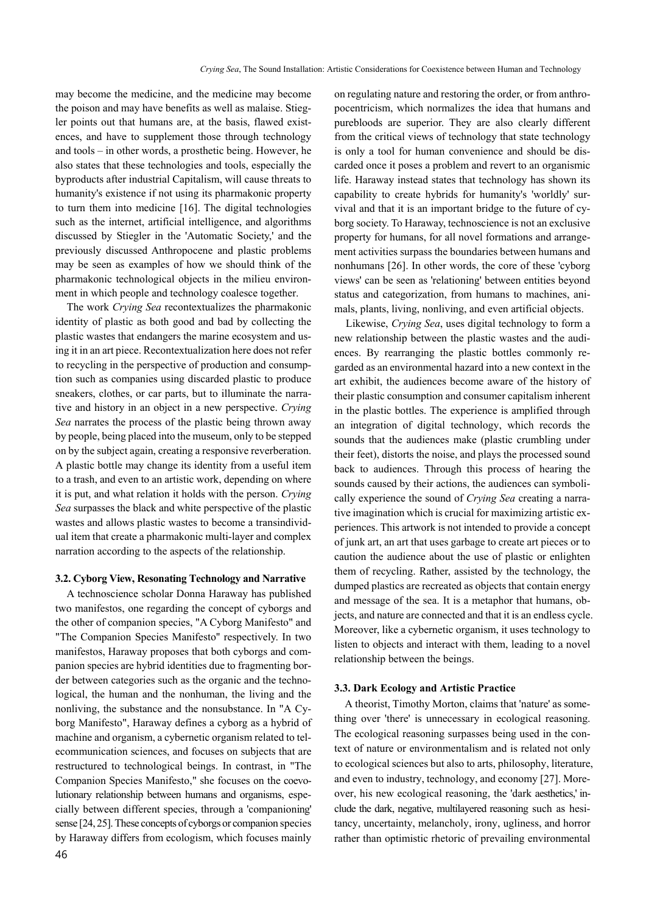may become the medicine, and the medicine may become the poison and may have benefits as well as malaise. Stiegler points out that humans are, at the basis, flawed existences, and have to supplement those through technology and tools – in other words, a prosthetic being. However, he also states that these technologies and tools, especially the byproducts after industrial Capitalism, will cause threats to humanity's existence if not using its pharmakonic property to turn them into medicine [16]. The digital technologies such as the internet, artificial intelligence, and algorithms discussed by Stiegler in the 'Automatic Society,' and the previously discussed Anthropocene and plastic problems may be seen as examples of how we should think of the pharmakonic technological objects in the milieu environment in which people and technology coalesce together.

The work *Crying Sea* recontextualizes the pharmakonic identity of plastic as both good and bad by collecting the plastic wastes that endangers the marine ecosystem and using it in an art piece. Recontextualization here does not refer to recycling in the perspective of production and consumption such as companies using discarded plastic to produce sneakers, clothes, or car parts, but to illuminate the narrative and history in an object in a new perspective. *Crying Sea* narrates the process of the plastic being thrown away by people, being placed into the museum, only to be stepped on by the subject again, creating a responsive reverberation. A plastic bottle may change its identity from a useful item to a trash, and even to an artistic work, depending on where it is put, and what relation it holds with the person. *Crying Sea* surpasses the black and white perspective of the plastic wastes and allows plastic wastes to become a transindividual item that create a pharmakonic multi-layer and complex narration according to the aspects of the relationship.

#### **3.2. Cyborg View, Resonating Technology and Narrative**

A technoscience scholar Donna Haraway has published two manifestos, one regarding the concept of cyborgs and the other of companion species, "A Cyborg Manifesto" and "The Companion Species Manifesto'' respectively. In two manifestos, Haraway proposes that both cyborgs and companion species are hybrid identities due to fragmenting border between categories such as the organic and the technological, the human and the nonhuman, the living and the nonliving, the substance and the nonsubstance. In "A Cyborg Manifesto", Haraway defines a cyborg as a hybrid of machine and organism, a cybernetic organism related to telecommunication sciences, and focuses on subjects that are restructured to technological beings. In contrast, in "The Companion Species Manifesto," she focuses on the coevolutionary relationship between humans and organisms, especially between different species, through a 'companioning' sense [24, 25]. These concepts of cyborgs or companion species by Haraway differs from ecologism, which focuses mainly on regulating nature and restoring the order, or from anthropocentricism, which normalizes the idea that humans and purebloods are superior. They are also clearly different from the critical views of technology that state technology is only a tool for human convenience and should be discarded once it poses a problem and revert to an organismic life. Haraway instead states that technology has shown its capability to create hybrids for humanity's 'worldly' survival and that it is an important bridge to the future of cyborg society. To Haraway, technoscience is not an exclusive property for humans, for all novel formations and arrangement activities surpass the boundaries between humans and nonhumans [26]. In other words, the core of these 'cyborg views' can be seen as 'relationing' between entities beyond status and categorization, from humans to machines, animals, plants, living, nonliving, and even artificial objects.

Likewise, *Crying Sea*, uses digital technology to form a new relationship between the plastic wastes and the audiences. By rearranging the plastic bottles commonly regarded as an environmental hazard into a new context in the art exhibit, the audiences become aware of the history of their plastic consumption and consumer capitalism inherent in the plastic bottles. The experience is amplified through an integration of digital technology, which records the sounds that the audiences make (plastic crumbling under their feet), distorts the noise, and plays the processed sound back to audiences. Through this process of hearing the sounds caused by their actions, the audiences can symbolically experience the sound of *Crying Sea* creating a narrative imagination which is crucial for maximizing artistic experiences. This artwork is not intended to provide a concept of junk art, an art that uses garbage to create art pieces or to caution the audience about the use of plastic or enlighten them of recycling. Rather, assisted by the technology, the dumped plastics are recreated as objects that contain energy and message of the sea. It is a metaphor that humans, objects, and nature are connected and that it is an endless cycle. Moreover, like a cybernetic organism, it uses technology to listen to objects and interact with them, leading to a novel relationship between the beings.

#### **3.3. Dark Ecology and Artistic Practice**

A theorist, Timothy Morton, claims that 'nature' as something over 'there' is unnecessary in ecological reasoning. The ecological reasoning surpasses being used in the context of nature or environmentalism and is related not only to ecological sciences but also to arts, philosophy, literature, and even to industry, technology, and economy [27]. Moreover, his new ecological reasoning, the 'dark aesthetics,' include the dark, negative, multilayered reasoning such as hesitancy, uncertainty, melancholy, irony, ugliness, and horror rather than optimistic rhetoric of prevailing environmental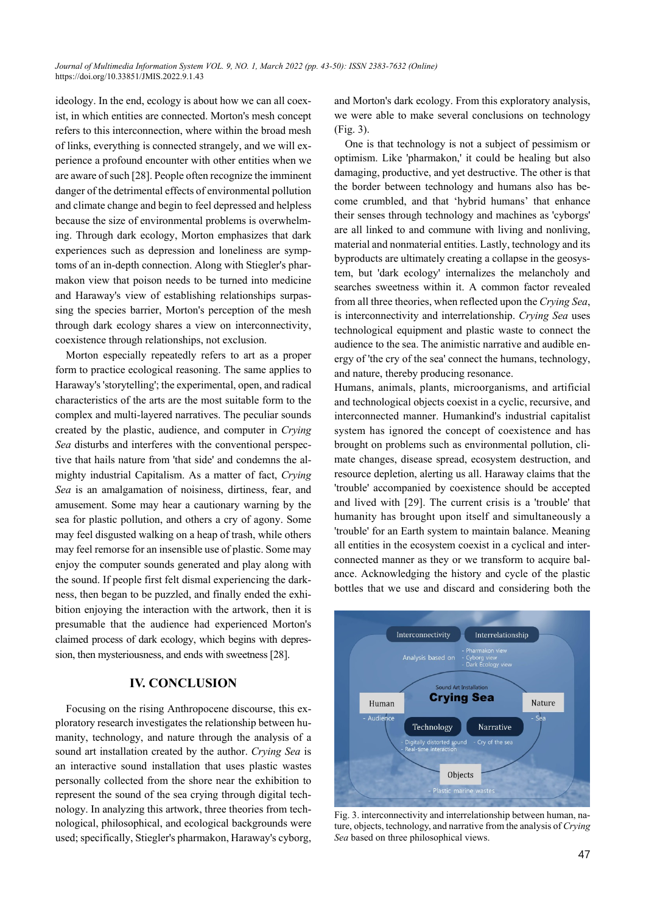ideology. In the end, ecology is about how we can all coexist, in which entities are connected. Morton's mesh concept refers to this interconnection, where within the broad mesh of links, everything is connected strangely, and we will experience a profound encounter with other entities when we are aware of such [28]. People often recognize the imminent danger of the detrimental effects of environmental pollution and climate change and begin to feel depressed and helpless because the size of environmental problems is overwhelming. Through dark ecology, Morton emphasizes that dark experiences such as depression and loneliness are symptoms of an in-depth connection. Along with Stiegler's pharmakon view that poison needs to be turned into medicine and Haraway's view of establishing relationships surpassing the species barrier, Morton's perception of the mesh through dark ecology shares a view on interconnectivity, coexistence through relationships, not exclusion.

Morton especially repeatedly refers to art as a proper form to practice ecological reasoning. The same applies to Haraway's 'storytelling'; the experimental, open, and radical characteristics of the arts are the most suitable form to the complex and multi-layered narratives. The peculiar sounds created by the plastic, audience, and computer in *Crying Sea* disturbs and interferes with the conventional perspective that hails nature from 'that side' and condemns the almighty industrial Capitalism. As a matter of fact, *Crying Sea* is an amalgamation of noisiness, dirtiness, fear, and amusement. Some may hear a cautionary warning by the sea for plastic pollution, and others a cry of agony. Some may feel disgusted walking on a heap of trash, while others may feel remorse for an insensible use of plastic. Some may enjoy the computer sounds generated and play along with the sound. If people first felt dismal experiencing the darkness, then began to be puzzled, and finally ended the exhibition enjoying the interaction with the artwork, then it is presumable that the audience had experienced Morton's claimed process of dark ecology, which begins with depression, then mysteriousness, and ends with sweetness [28].

## **IV. CONCLUSION**

Focusing on the rising Anthropocene discourse, this exploratory research investigates the relationship between humanity, technology, and nature through the analysis of a sound art installation created by the author. *Crying Sea* is an interactive sound installation that uses plastic wastes personally collected from the shore near the exhibition to represent the sound of the sea crying through digital technology. In analyzing this artwork, three theories from technological, philosophical, and ecological backgrounds were used; specifically, Stiegler's pharmakon, Haraway's cyborg, and Morton's dark ecology. From this exploratory analysis, we were able to make several conclusions on technology (Fig. 3).

One is that technology is not a subject of pessimism or optimism. Like 'pharmakon,' it could be healing but also damaging, productive, and yet destructive. The other is that the border between technology and humans also has become crumbled, and that 'hybrid humans' that enhance their senses through technology and machines as 'cyborgs' are all linked to and commune with living and nonliving, material and nonmaterial entities. Lastly, technology and its byproducts are ultimately creating a collapse in the geosystem, but 'dark ecology' internalizes the melancholy and searches sweetness within it. A common factor revealed from all three theories, when reflected upon the *Crying Sea*, is interconnectivity and interrelationship. *Crying Sea* uses technological equipment and plastic waste to connect the audience to the sea. The animistic narrative and audible energy of 'the cry of the sea' connect the humans, technology, and nature, thereby producing resonance.

Humans, animals, plants, microorganisms, and artificial and technological objects coexist in a cyclic, recursive, and interconnected manner. Humankind's industrial capitalist system has ignored the concept of coexistence and has brought on problems such as environmental pollution, climate changes, disease spread, ecosystem destruction, and resource depletion, alerting us all. Haraway claims that the 'trouble' accompanied by coexistence should be accepted and lived with [29]. The current crisis is a 'trouble' that humanity has brought upon itself and simultaneously a 'trouble' for an Earth system to maintain balance. Meaning all entities in the ecosystem coexist in a cyclical and interconnected manner as they or we transform to acquire balance. Acknowledging the history and cycle of the plastic bottles that we use and discard and considering both the



Fig. 3. interconnectivity and interrelationship between human, nature, objects, technology, and narrative from the analysis of *Crying Sea* based on three philosophical views.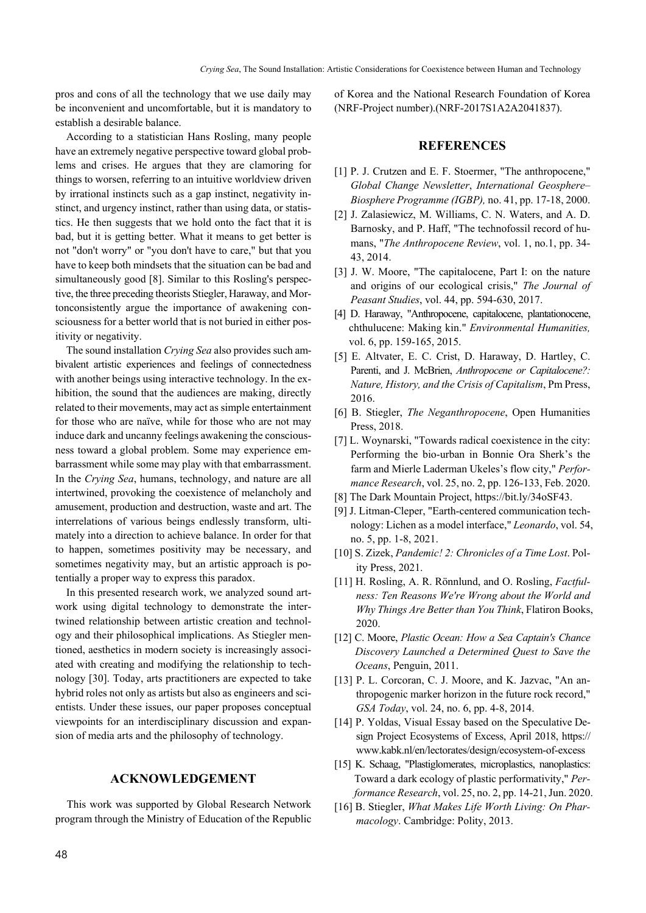pros and cons of all the technology that we use daily may be inconvenient and uncomfortable, but it is mandatory to establish a desirable balance.

According to a statistician Hans Rosling, many people have an extremely negative perspective toward global problems and crises. He argues that they are clamoring for things to worsen, referring to an intuitive worldview driven by irrational instincts such as a gap instinct, negativity instinct, and urgency instinct, rather than using data, or statistics. He then suggests that we hold onto the fact that it is bad, but it is getting better. What it means to get better is not "don't worry" or "you don't have to care," but that you have to keep both mindsets that the situation can be bad and simultaneously good [8]. Similar to this Rosling's perspective, the three preceding theorists Stiegler, Haraway, and Mortonconsistently argue the importance of awakening consciousness for a better world that is not buried in either positivity or negativity.

The sound installation *Crying Sea* also provides such ambivalent artistic experiences and feelings of connectedness with another beings using interactive technology. In the exhibition, the sound that the audiences are making, directly related to their movements, may act as simple entertainment for those who are naïve, while for those who are not may induce dark and uncanny feelings awakening the consciousness toward a global problem. Some may experience embarrassment while some may play with that embarrassment. In the *Crying Sea*, humans, technology, and nature are all intertwined, provoking the coexistence of melancholy and amusement, production and destruction, waste and art. The interrelations of various beings endlessly transform, ultimately into a direction to achieve balance. In order for that to happen, sometimes positivity may be necessary, and sometimes negativity may, but an artistic approach is potentially a proper way to express this paradox.

In this presented research work, we analyzed sound artwork using digital technology to demonstrate the intertwined relationship between artistic creation and technology and their philosophical implications. As Stiegler mentioned, aesthetics in modern society is increasingly associated with creating and modifying the relationship to technology [30]. Today, arts practitioners are expected to take hybrid roles not only as artists but also as engineers and scientists. Under these issues, our paper proposes conceptual viewpoints for an interdisciplinary discussion and expansion of media arts and the philosophy of technology.

## **ACKNOWLEDGEMENT**

This work was supported by Global Research Network program through the Ministry of Education of the Republic of Korea and the National Research Foundation of Korea (NRF-Project number).(NRF-2017S1A2A2041837).

#### **REFERENCES**

- [1] P. J. Crutzen and E. F. Stoermer, "The anthropocene," *Global Change Newsletter*, *International Geosphere– Biosphere Programme (IGBP),* no. 41, pp. 17-18, 2000.
- [2] J. Zalasiewicz, M. Williams, C. N. Waters, and A. D. Barnosky, and P. Haff, "The technofossil record of humans, "*The Anthropocene Review*, vol. 1, no.1, pp. 34- 43, 2014.
- [3] J. W. Moore, "The capitalocene, Part I: on the nature and origins of our ecological crisis," *The Journal of Peasant Studies*, vol. 44, pp. 594-630, 2017.
- [4] D. Haraway, "Anthropocene, capitalocene, plantationocene, chthulucene: Making kin." *Environmental Humanities,* vol. 6, pp. 159-165, 2015.
- [5] E. Altvater, E. C. Crist, D. Haraway, D. Hartley, C. Parenti, and J. McBrien, *Anthropocene or Capitalocene?: Nature, History, and the Crisis of Capitalism*, Pm Press, 2016.
- [6] B. Stiegler, *The Neganthropocene*, Open Humanities Press, 2018.
- [7] L. Woynarski, "Towards radical coexistence in the city: Performing the bio-urban in Bonnie Ora Sherk's the farm and Mierle Laderman Ukeles's flow city," *Performance Research*, vol. 25, no. 2, pp. 126-133, Feb. 2020.
- [8] The Dark Mountain Project, https://bit.ly/34oSF43.
- [9] J. Litman-Cleper, "Earth-centered communication technology: Lichen as a model interface," *Leonardo*, vol. 54, no. 5, pp. 1-8, 2021.
- [10] S. Zizek, *Pandemic! 2: Chronicles of a Time Lost*. Polity Press, 2021.
- [11] H. Rosling, A. R. Rönnlund, and O. Rosling, *Factfulness: Ten Reasons We're Wrong about the World and Why Things Are Better than You Think*, Flatiron Books, 2020.
- [12] C. Moore, *Plastic Ocean: How a Sea Captain's Chance Discovery Launched a Determined Quest to Save the Oceans*, Penguin, 2011.
- [13] P. L. Corcoran, C. J. Moore, and K. Jazvac, "An anthropogenic marker horizon in the future rock record," *GSA Today*, vol. 24, no. 6, pp. 4-8, 2014.
- [14] P. Yoldas, Visual Essay based on the Speculative Design Project Ecosystems of Excess, April 2018, https:// www.kabk.nl/en/lectorates/design/ecosystem-of-excess
- [15] K. Schaag, "Plastiglomerates, microplastics, nanoplastics: Toward a dark ecology of plastic performativity," *Performance Research*, vol. 25, no. 2, pp. 14-21, Jun. 2020.
- [16] B. Stiegler, *What Makes Life Worth Living: On Pharmacology*. Cambridge: Polity, 2013.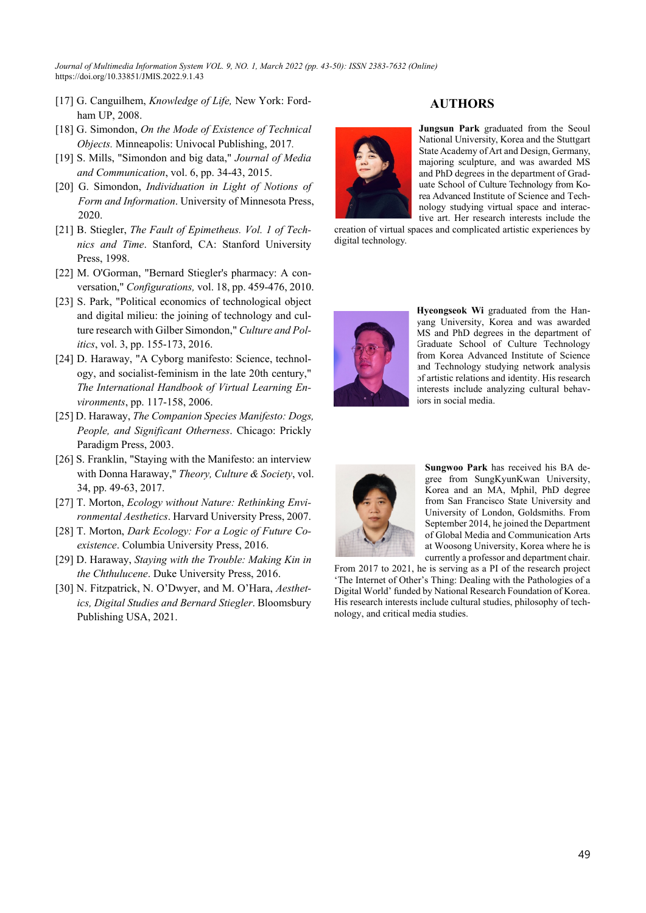*Journal of Multimedia Information System VOL. 9, NO. 1, March 2022 (pp. 43-50): ISSN 2383-7632 (Online)* https://doi.org/10.33851/JMIS.2022.9.1.43

- [17] G. Canguilhem, *Knowledge of Life,* New York: Fordham UP, 2008.
- [18] G. Simondon, *On the Mode of Existence of Technical Objects.* Minneapolis: Univocal Publishing, 2017*.*
- [19] S. Mills, "Simondon and big data," *Journal of Media and Communication*, vol. 6, pp. 34-43, 2015.
- [20] G. Simondon, *Individuation in Light of Notions of Form and Information*. University of Minnesota Press, 2020.
- [21] B. Stiegler, *The Fault of Epimetheus. Vol. 1 of Technics and Time*. Stanford, CA: Stanford University Press, 1998.
- [22] M. O'Gorman, "Bernard Stiegler's pharmacy: A conversation," *Configurations,* vol. 18, pp. 459-476, 2010.
- [23] S. Park, "Political economics of technological object and digital milieu: the joining of technology and culture research with Gilber Simondon," *Culture and Politics*, vol. 3, pp. 155-173, 2016.
- [24] D. Haraway, "A Cyborg manifesto: Science, technology, and socialist-feminism in the late 20th century," *The International Handbook of Virtual Learning Environments*, pp. 117-158, 2006.
- [25] D. Haraway, *The Companion Species Manifesto: Dogs, People, and Significant Otherness*. Chicago: Prickly Paradigm Press, 2003.
- [26] S. Franklin, "Staying with the Manifesto: an interview with Donna Haraway," *Theory, Culture & Society*, vol. 34, pp. 49-63, 2017.
- [27] T. Morton, *Ecology without Nature: Rethinking Environmental Aesthetics*. Harvard University Press, 2007.
- [28] T. Morton, *Dark Ecology: For a Logic of Future Coexistence*. Columbia University Press, 2016.
- [29] D. Haraway, *Staying with the Trouble: Making Kin in the Chthulucene*. Duke University Press, 2016.
- [30] N. Fitzpatrick, N. O'Dwyer, and M. O'Hara, *Aesthetics, Digital Studies and Bernard Stiegler*. Bloomsbury Publishing USA, 2021.



## **AUTHORS**

**Jungsun Park** graduated from the Seoul National University, Korea and the Stuttgart State Academy of Art and Design, Germany, majoring sculpture, and was awarded MS and PhD degrees in the department of Graduate School of Culture Technology from Korea Advanced Institute of Science and Technology studying virtual space and interactive art. Her research interests include the

creation of virtual spaces and complicated artistic experiences by digital technology.



**Hyeongseok Wi** graduated from the Hanyang University, Korea and was awarded MS and PhD degrees in the department of Graduate School of Culture Technology from Korea Advanced Institute of Science and Technology studying network analysis of artistic relations and identity. His research interests include analyzing cultural behaviors in social media.



**Sungwoo Park** has received his BA degree from SungKyunKwan University, Korea and an MA, Mphil, PhD degree from San Francisco State University and University of London, Goldsmiths. From September 2014, he joined the Department of Global Media and Communication Arts at Woosong University, Korea where he is currently a professor and department chair.

From 2017 to 2021, he is serving as a PI of the research project 'The Internet of Other's Thing: Dealing with the Pathologies of a Digital World' funded by National Research Foundation of Korea. His research interests include cultural studies, philosophy of technology, and critical media studies.